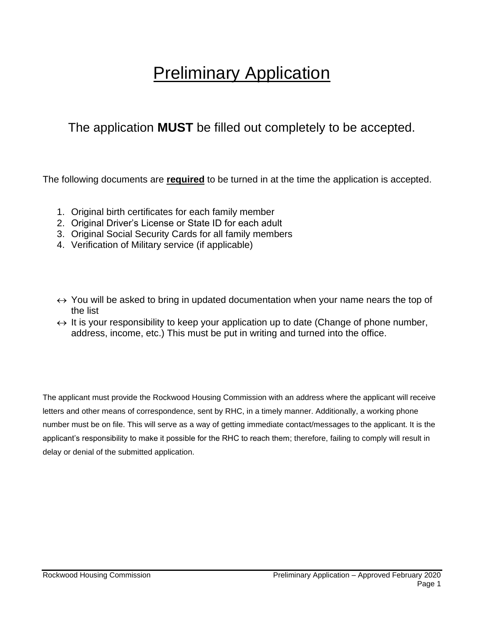# **Preliminary Application**

## The application **MUST** be filled out completely to be accepted.

The following documents are **required** to be turned in at the time the application is accepted.

- 1. Original birth certificates for each family member
- 2. Original Driver's License or State ID for each adult
- 3. Original Social Security Cards for all family members
- 4. Verification of Military service (if applicable)
- $\leftrightarrow$  You will be asked to bring in updated documentation when your name nears the top of the list
- $\leftrightarrow$  It is your responsibility to keep your application up to date (Change of phone number, address, income, etc.) This must be put in writing and turned into the office.

The applicant must provide the Rockwood Housing Commission with an address where the applicant will receive letters and other means of correspondence, sent by RHC, in a timely manner. Additionally, a working phone number must be on file. This will serve as a way of getting immediate contact/messages to the applicant. It is the applicant's responsibility to make it possible for the RHC to reach them; therefore, failing to comply will result in delay or denial of the submitted application.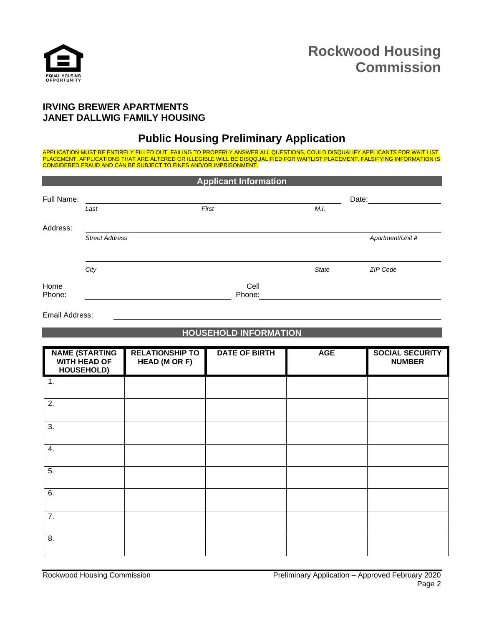

### **IRVING BREWER APARTMENTS JANET DALLWIG FAMILY HOUSING**

## **Public Housing Preliminary Application**

APPLICATION MUST BE ENTIRELY FILLED OUT. FAILING TO PROPERLY ANSWER ALL QUESTIONS, COULD DISQUALIFY APPLICANTS FOR WAIT LIST PLACEMENT. APPLICATIONS THAT ARE ALTERED OR ILLEGIBLE WILL BE DISQQUALIFIED FOR WAITLIST PLACEMENT. FALSIFYING INFORMATION IS CONSIDERED FRAUD AND CAN BE SUBJECT TO FINES AND/OR IMPRISONMENT.

| <b>Applicant Information</b> |                       |       |                |              |                  |  |  |
|------------------------------|-----------------------|-------|----------------|--------------|------------------|--|--|
| Full Name:                   |                       |       |                |              | Date:            |  |  |
|                              | Last                  | First |                | M.I.         |                  |  |  |
| Address:                     |                       |       |                |              |                  |  |  |
|                              | <b>Street Address</b> |       |                |              | Apartment/Unit # |  |  |
|                              |                       |       |                |              |                  |  |  |
|                              | City                  |       |                | <b>State</b> | ZIP Code         |  |  |
| Home<br>Phone:               |                       |       | Cell<br>Phone: |              |                  |  |  |

Email Address:

#### **HOUSEHOLD INFORMATION**

| <b>NAME (STARTING</b><br>WITH HEAD OF<br>HOUSEHOLD) | <b>RELATIONSHIP TO</b><br>HEAD (M OR F) | <b>DATE OF BIRTH</b> | <b>AGE</b> | <b>SOCIAL SECURITY</b><br><b>NUMBER</b> |
|-----------------------------------------------------|-----------------------------------------|----------------------|------------|-----------------------------------------|
| 1.                                                  |                                         |                      |            |                                         |
| 2.                                                  |                                         |                      |            |                                         |
| 3.                                                  |                                         |                      |            |                                         |
| 4.                                                  |                                         |                      |            |                                         |
| $\overline{5}$ .                                    |                                         |                      |            |                                         |
| 6.                                                  |                                         |                      |            |                                         |
| 7.                                                  |                                         |                      |            |                                         |
| 8.                                                  |                                         |                      |            |                                         |